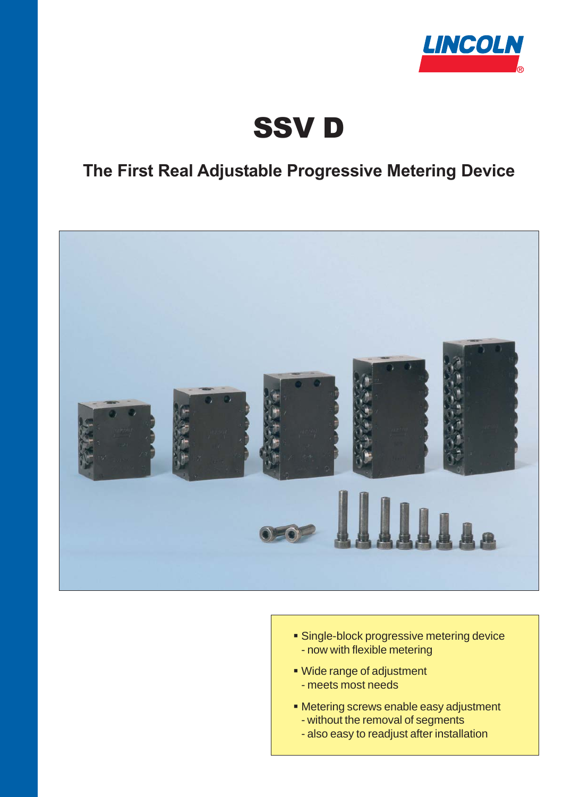

# SSV D

### **The First Real Adjustable Progressive Metering Device**



- **Single-block progressive metering device** - now with flexible metering
- Wide range of adjustment
	- meets most needs
- Metering screws enable easy adjustment
	- without the removal of segments
	- also easy to readjust after installation